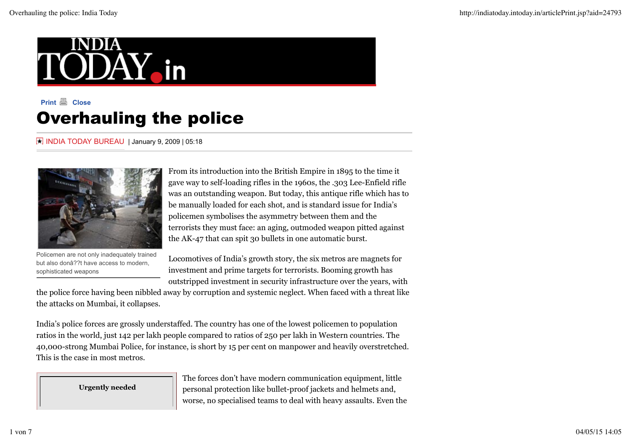

# **Print Close** Overhauling the police

INDIA TODAY BUREAU | January 9, 2009 | 05:18



Policemen are not only inadequately trained but also donâ??t have access to modern, sophisticated weapons

From its introduction into the British Empire in 1895 to the time it gave way to self-loading rifles in the 1960s, the .303 Lee-Enfield rifle was an outstanding weapon. But today, this antique rifle which has to be manually loaded for each shot, and is standard issue for India's policemen symbolises the asymmetry between them and the terrorists they must face: an aging, outmoded weapon pitted against the AK-47 that can spit 30 bullets in one automatic burst.

Locomotives of India's growth story, the six metros are magnets for investment and prime targets for terrorists. Booming growth has outstripped investment in security infrastructure over the years, with

the police force having been nibbled away by corruption and systemic neglect. When faced with a threat like the attacks on Mumbai, it collapses.

India's police forces are grossly understaffed. The country has one of the lowest policemen to population ratios in the world, just 142 per lakh people compared to ratios of 250 per lakh in Western countries. The 40,000-strong Mumbai Police, for instance, is short by 15 per cent on manpower and heavily overstretched. This is the case in most metros.

**Urgently needed**

The forces don't have modern communication equipment, little personal protection like bullet-proof jackets and helmets and, worse, no specialised teams to deal with heavy assaults. Even the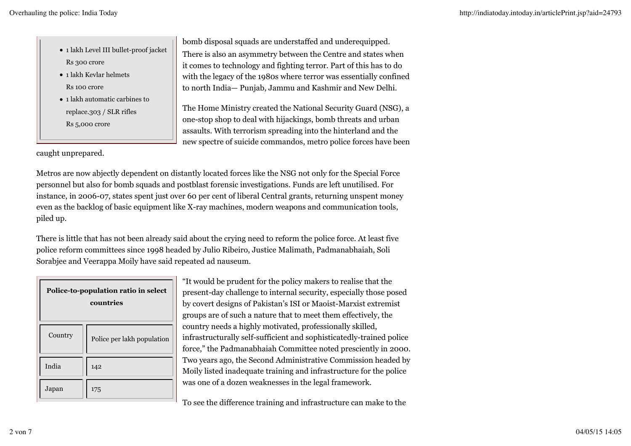- 1 lakh Level III bullet-proof jacket Rs 300 crore
- 1 lakh Kevlar helmets Rs 100 crore
- 1 lakh automatic carbines to replace.303 / SLR rifles Rs 5,000 crore

bomb disposal squads are understaffed and underequipped. There is also an asymmetry between the Centre and states when it comes to technology and fighting terror. Part of this has to do with the legacy of the 1980s where terror was essentially confined to north India— Punjab, Jammu and Kashmir and New Delhi.

The Home Ministry created the National Security Guard (NSG), a one-stop shop to deal with hijackings, bomb threats and urban assaults. With terrorism spreading into the hinterland and the new spectre of suicide commandos, metro police forces have been

caught unprepared.

Metros are now abjectly dependent on distantly located forces like the NSG not only for the Special Force personnel but also for bomb squads and postblast forensic investigations. Funds are left unutilised. For instance, in 2006-07, states spent just over 60 per cent of liberal Central grants, returning unspent money even as the backlog of basic equipment like X-ray machines, modern weapons and communication tools, piled up.

There is little that has not been already said about the crying need to reform the police force. At least five police reform committees since 1998 headed by Julio Ribeiro, Justice Malimath, Padmanabhaiah, Soli Sorabjee and Veerappa Moily have said repeated ad nauseum.

| Police-to-population ratio in select<br>countries |                            |  |
|---------------------------------------------------|----------------------------|--|
| Country                                           | Police per lakh population |  |
| India                                             | 142                        |  |
| Japan                                             | 175                        |  |

"It would be prudent for the policy makers to realise that the present-day challenge to internal security, especially those posed by covert designs of Pakistan's ISI or Maoist-Marxist extremist groups are of such a nature that to meet them effectively, the country needs a highly motivated, professionally skilled, infrastructurally self-sufficient and sophisticatedly-trained police force," the Padmanabhaiah Committee noted presciently in 2000. Two years ago, the Second Administrative Commission headed by Moily listed inadequate training and infrastructure for the police was one of a dozen weaknesses in the legal framework.

To see the difference training and infrastructure can make to the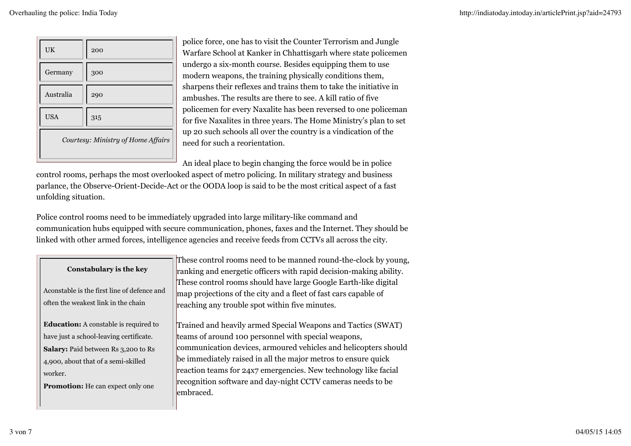| <b>UK</b>                          | 200 |  |
|------------------------------------|-----|--|
| Germany                            | 300 |  |
| Australia                          | 290 |  |
| <b>USA</b>                         | 315 |  |
| Courtesy: Ministry of Home Affairs |     |  |

police force, one has to visit the Counter Terrorism and Jungle Warfare School at Kanker in Chhattisgarh where state policemen undergo a six-month course. Besides equipping them to use modern weapons, the training physically conditions them, sharpens their reflexes and trains them to take the initiative in ambushes. The results are there to see. A kill ratio of five policemen for every Naxalite has been reversed to one policeman for five Naxalites in three years. The Home Ministry's plan to set up 20 such schools all over the country is a vindication of the need for such a reorientation.

An ideal place to begin changing the force would be in police

control rooms, perhaps the most overlooked aspect of metro policing. In military strategy and business parlance, the Observe-Orient-Decide-Act or the OODA loop is said to be the most critical aspect of a fast unfolding situation.

Police control rooms need to be immediately upgraded into large military-like command and communication hubs equipped with secure communication, phones, faxes and the Internet. They should be linked with other armed forces, intelligence agencies and receive feeds from CCTVs all across the city.

| <b>Constabulary is the key</b><br>Aconstable is the first line of defence and<br>often the weakest link in the chain                  | These control rooms need to be manned round-the-clock by young,<br>ranking and energetic officers with rapid decision-making ability.<br>These control rooms should have large Google Earth-like digital<br>map projections of the city and a fleet of fast cars capable of |
|---------------------------------------------------------------------------------------------------------------------------------------|-----------------------------------------------------------------------------------------------------------------------------------------------------------------------------------------------------------------------------------------------------------------------------|
| <b>Education:</b> A constable is required to<br>have just a school-leaving certificate.<br><b>Salary:</b> Paid between Rs 3,200 to Rs | reaching any trouble spot within five minutes.<br>Trained and heavily armed Special Weapons and Tactics (SWAT)<br>teams of around 100 personnel with special weapons,<br>communication devices, armoured vehicles and helicopters should                                    |
| 4,900, about that of a semi-skilled<br>worker.<br><b>Promotion:</b> He can expect only one                                            | be immediately raised in all the major metros to ensure quick<br>reaction teams for 24x7 emergencies. New technology like facial<br>recognition software and day-night CCTV cameras needs to be<br>lembraced.                                                               |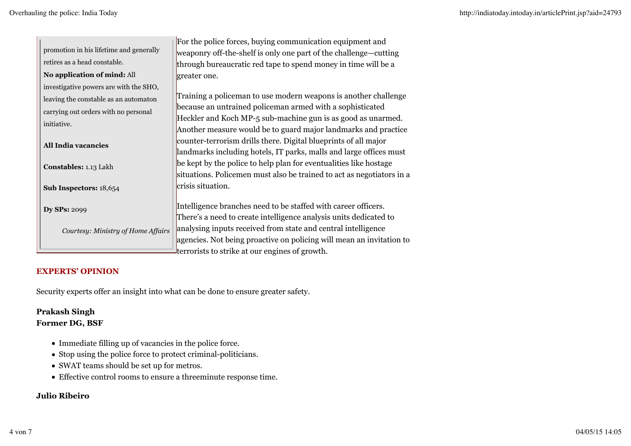|                                         | For the police forces, buying communication equipment and             |
|-----------------------------------------|-----------------------------------------------------------------------|
| promotion in his lifetime and generally | weaponry off-the-shelf is only one part of the challenge—cutting      |
| retires as a head constable.            | through bureaucratic red tape to spend money in time will be a        |
| No application of mind: All             | greater one.                                                          |
| investigative powers are with the SHO,  |                                                                       |
| leaving the constable as an automaton   | Training a policeman to use modern weapons is another challenge       |
| carrying out orders with no personal    | because an untrained policeman armed with a sophisticated             |
| initiative.                             | Heckler and Koch MP-5 sub-machine gun is as good as unarmed.          |
|                                         | Another measure would be to guard major landmarks and practice        |
| All India vacancies                     | counter-terrorism drills there. Digital blueprints of all major       |
|                                         | landmarks including hotels, IT parks, malls and large offices must    |
| Constables: 1.13 Lakh                   | be kept by the police to help plan for eventualities like hostage     |
|                                         | situations. Policemen must also be trained to act as negotiators in a |
| Sub Inspectors: 18,654                  | crisis situation.                                                     |
|                                         |                                                                       |
| <b>Dy SPs: 2099</b>                     | Intelligence branches need to be staffed with career officers.        |
|                                         | There's a need to create intelligence analysis units dedicated to     |
| Courtesy: Ministry of Home Affairs      | analysing inputs received from state and central intelligence         |
|                                         | agencies. Not being proactive on policing will mean an invitation to  |
|                                         | terrorists to strike at our engines of growth.                        |

### **EXPERTS' OPINION**

Security experts offer an insight into what can be done to ensure greater safety.

#### **Prakash Singh Former DG, BSF**

- Immediate filling up of vacancies in the police force.
- Stop using the police force to protect criminal-politicians.
- SWAT teams should be set up for metros.
- Effective control rooms to ensure a threeminute response time.

# **Julio Ribeiro**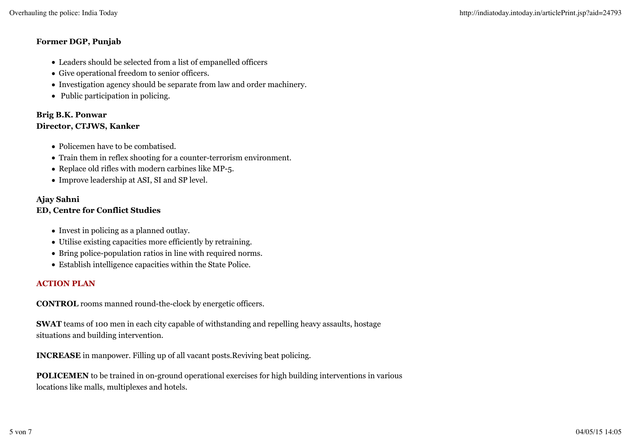#### **Former DGP, Punjab**

- Leaders should be selected from a list of empanelled officers
- Give operational freedom to senior officers.
- Investigation agency should be separate from law and order machinery.
- Public participation in policing.

#### **Brig B.K. Ponwar Director, CTJWS, Kanker**

- Policemen have to be combatised.
- Train them in reflex shooting for a counter-terrorism environment.
- Replace old rifles with modern carbines like MP-5.
- Improve leadership at ASI, SI and SP level.

## **Ajay Sahni**

# **ED, Centre for Conflict Studies**

- Invest in policing as a planned outlay.
- Utilise existing capacities more efficiently by retraining.
- Bring police-population ratios in line with required norms.
- Establish intelligence capacities within the State Police.

# **ACTION PLAN**

**CONTROL** rooms manned round-the-clock by energetic officers.

**SWAT** teams of 100 men in each city capable of withstanding and repelling heavy assaults, hostage situations and building intervention.

**INCREASE** in manpower. Filling up of all vacant posts.Reviving beat policing.

**POLICEMEN** to be trained in on-ground operational exercises for high building interventions in various locations like malls, multiplexes and hotels.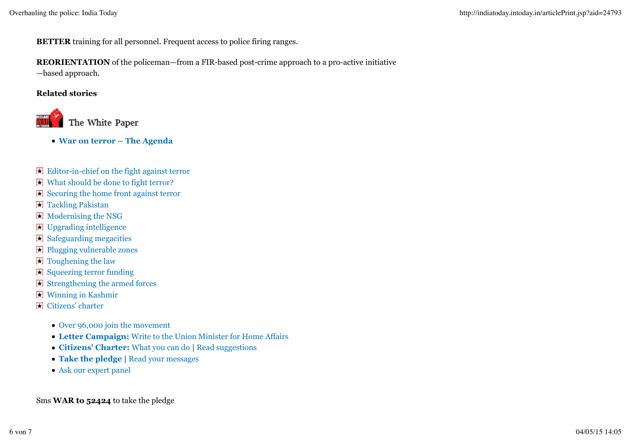**BETTER** training for all personnel. Frequent access to police firing ranges.

# **REORIENTATION** of the policeman—from a FIR-based post-crime approach to a pro-active initiative

—based approach.

#### **Related stories**



- **War on terror The Agenda**
- Editor-in-chief on the fight against terror
- What should be done to fight terror?
- $\boxplus$  Securing the home front against terror
- **T** Tackling Pakistan
- Modernising the NSG
- Upgrading intelligence
- $\blacktriangleright$  Safeguarding megacities
- Plugging vulnerable zones
- $\blacksquare$  Toughening the law
- $\boxdot$  Squeezing terror funding
- $\boxplus$  Strengthening the armed forces
- Winning in Kashmir
- Citizens' charter
	- Over 96,000 join the movement
	- **Letter Campaign:** Write to the Union Minister for Home Affairs
	- **Citizens' Charter:** What you can do | Read suggestions
	- **Take the pledge** | Read your messages
	- Ask our expert panel

Sms **WAR to 52424** to take the pledge